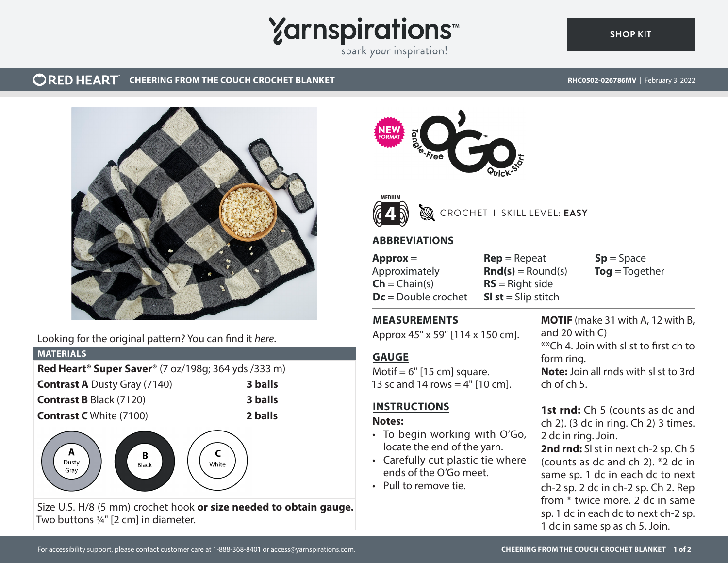# **Yarnspirations**

spark your inspiration!

#### **ORED HEART CHEERING FROM THE COUCH CROCHET BLANKET RHCOSON CHEERING FROM THE COUCH CROSO2-026786MV** | February 3, 2022

**[SHOP KIT](https://www.yarnspirations.com/RHC0502-026786M.html#utm_source=pdf-yarnspirations&utm_medium=referral)**



# Looking for the original pattern? You can find it *[here](https://www.yarnspirations.com/on/demandware.static/-/Sites-master-catalog-spinrite/default/dw440c242d/PDF/RHC0502-032359M-1.pdf)*.

### **MATERIALS**

| Red Heart <sup>®</sup> Super Saver® (7 oz/198g; 364 yds /333 m) |         |
|-----------------------------------------------------------------|---------|
| <b>Contrast A Dusty Gray (7140)</b>                             | 3 balls |
| <b>Contrast B Black (7120)</b>                                  | 3 balls |
| <b>Contrast C</b> White (7100)                                  | 2 balls |



Size U.S. H/8 (5 mm) crochet hook **or size needed to obtain gauge.** Two buttons  $\frac{3}{4}$ " [2 cm] in diameter.





# CROCHET I SKILL LEVEL: **EASY**

# **ABBREVIATIONS**

**Approx** = Approximately  $Ch = Chain(s)$ **Dc** = Double crochet

**Rep** = Repeat  $\text{Rnd}(s) =$  Round(s) **RS** = Right side **Sl st** = Slip stitch

**Sp** = Space **Tog** = Together

## **MEASUREMENTS**

Approx 45" x 59" [114 x 150 cm].

# **GAUGE**

Motif =  $6"$  [15 cm] square. 13 sc and 14 rows  $=$  4" [10 cm].

# **INSTRUCTIONS**

### **Notes:**

- To begin working with O'Go, locate the end of the yarn.
- Carefully cut plastic tie where ends of the O'Go meet.
- Pull to remove tie.

**MOTIF** (make 31 with A, 12 with B, and 20 with C) \*\*Ch 4. Join with sl st to first ch to form ring. **Note:** Join all rnds with sl st to 3rd ch of ch 5.

1st rnd: Ch 5 (counts as dc and ch 2). (3 dc in ring. Ch 2) 3 times. 2 dc in ring. Join.

**2nd rnd:** Sl st in next ch-2 sp. Ch 5 (counts as dc and ch 2). \*2 dc in same sp. 1 dc in each dc to next ch-2 sp. 2 dc in ch-2 sp. Ch 2. Rep from \* twice more. 2 dc in same sp. 1 dc in each dc to next ch-2 sp. 1 dc in same sp as ch 5. Join.